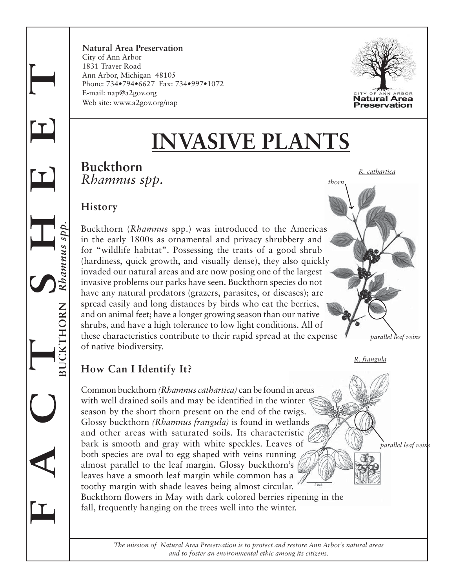**Natural Area Preservation**  City of Ann Arbor 1831 Traver Road Ann Arbor, Michigan 48105 Phone: 734•794•6627 Fax: 734•997•1072 E-mail: nap@a2gov.org Web site: www.a2gov.org/nap



# **INVASIVE PLANTS**

#### **Buckthorn** *Rhamnus spp.*

*R. cathartica*

*R. frangula*

*parallel leaf veins*

*parallel leaf veins* 

*thorn*

#### **History**

**F A C T S H E E T**

Rhamnus spp.

 $\mathbf I$ 

 $\mathbf I$ 

 **BUCKTHORN** *Rhamnus spp.*

**HORN** 

Buckthorn (*Rhamnus* spp.) was introduced to the Americas in the early 1800s as ornamental and privacy shrubbery and for "wildlife habitat". Possessing the traits of a good shrub (hardiness, quick growth, and visually dense), they also quickly invaded our natural areas and are now posing one of the largest invasive problems our parks have seen. Buckthorn species do not have any natural predators (grazers, parasites, or diseases); are spread easily and long distances by birds who eat the berries, and on animal feet; have a longer growing season than our native shrubs, and have a high tolerance to low light conditions. All of these characteristics contribute to their rapid spread at the expense of native biodiversity.

## **How Can I Identify It?**

Common buckthorn *(Rhamnus cathartica)* can be found in areas with well drained soils and may be identified in the winter season by the short thorn present on the end of the twigs. Glossy buckthorn *(Rhamnus frangula)* is found in wetlands and other areas with saturated soils. Its characteristic bark is smooth and gray with white speckles. Leaves of both species are oval to egg shaped with veins running almost parallel to the leaf margin. Glossy buckthorn's leaves have a smooth leaf margin while common has a toothy margin with shade leaves being almost circular. Buckthorn flowers in May with dark colored berries ripening in the

fall, frequently hanging on the trees well into the winter.

*The mission of Natural Area Preservation is to protect and restore Ann Arbor's natural areas and to foster an environmental ethic among its citizens.*